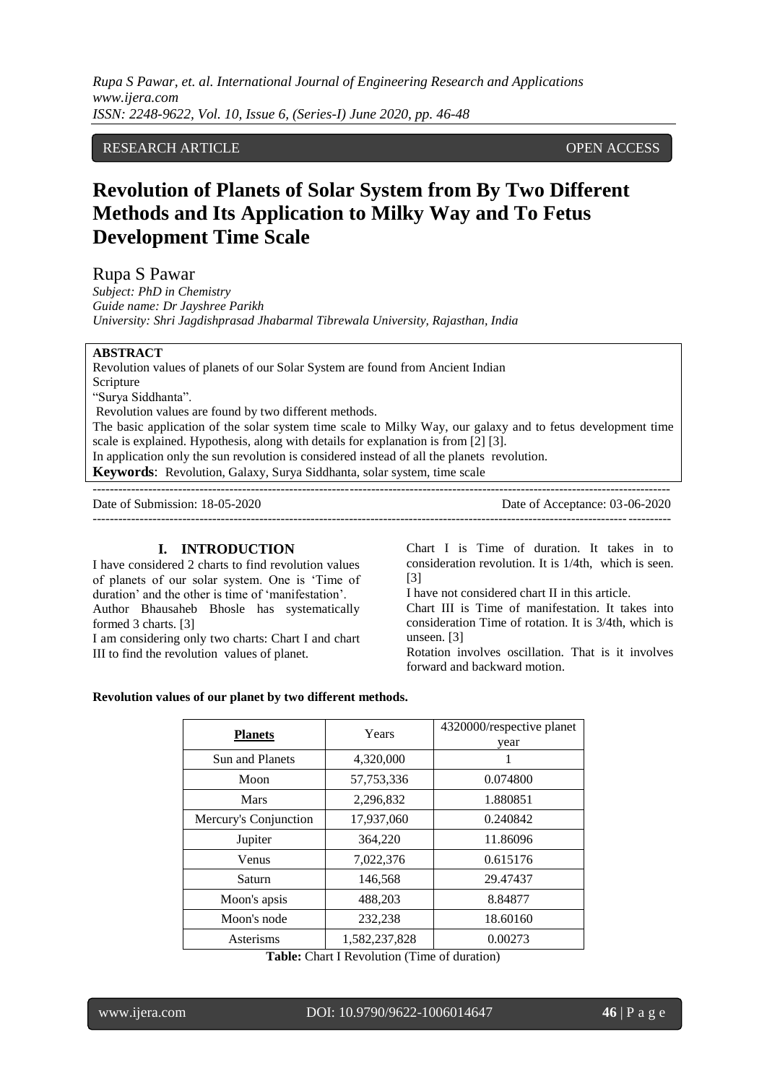*Rupa S Pawar, et. al. International Journal of Engineering Research and Applications www.ijera.com ISSN: 2248-9622, Vol. 10, Issue 6, (Series-I) June 2020, pp. 46-48*

## RESEARCH ARTICLE OPEN ACCESS

# **Revolution of Planets of Solar System from By Two Different Methods and Its Application to Milky Way and To Fetus Development Time Scale**

Rupa S Pawar

*Subject: PhD in Chemistry Guide name: Dr Jayshree Parikh University: Shri Jagdishprasad Jhabarmal Tibrewala University, Rajasthan, India*

#### **ABSTRACT**

Revolution values of planets of our Solar System are found from Ancient Indian Scripture "Surya Siddhanta". Revolution values are found by two different methods. The basic application of the solar system time scale to Milky Way, our galaxy and to fetus development time scale is explained. Hypothesis, along with details for explanation is from [2] [3].

---------------------------------------------------------------------------------------------------------------------------------------

 $-1-\frac{1}{2}$ 

In application only the sun revolution is considered instead of all the planets revolution.

**Keywords**: Revolution, Galaxy, Surya Siddhanta, solar system, time scale

Date of Submission: 18-05-2020 Date of Acceptance: 03-06-2020

### **I. INTRODUCTION**

I have considered 2 charts to find revolution values of planets of our solar system. One is "Time of duration' and the other is time of 'manifestation'. Author Bhausaheb Bhosle has systematically formed 3 charts. [3]

I am considering only two charts: Chart I and chart III to find the revolution values of planet.

Chart I is Time of duration. It takes in to consideration revolution. It is 1/4th, which is seen. [3]

I have not considered chart II in this article.

Chart III is Time of manifestation. It takes into consideration Time of rotation. It is 3/4th, which is unseen. [3]

Rotation involves oscillation. That is it involves forward and backward motion.

#### **Revolution values of our planet by two different methods.**

| <b>Planets</b>        | Years         | 4320000/respective planet<br>year |  |
|-----------------------|---------------|-----------------------------------|--|
| Sun and Planets       | 4,320,000     |                                   |  |
| Moon                  | 57,753,336    | 0.074800                          |  |
| <b>Mars</b>           | 2,296,832     | 1.880851                          |  |
| Mercury's Conjunction | 17,937,060    | 0.240842                          |  |
| Jupiter               | 364,220       | 11.86096                          |  |
| Venus                 | 7,022,376     | 0.615176                          |  |
| Saturn                | 146,568       | 29.47437                          |  |
| Moon's apsis          | 488,203       | 8.84877                           |  |
| Moon's node           | 232,238       | 18.60160                          |  |
| Asterisms             | 1,582,237,828 | 0.00273                           |  |

**Table:** Chart I Revolution (Time of duration)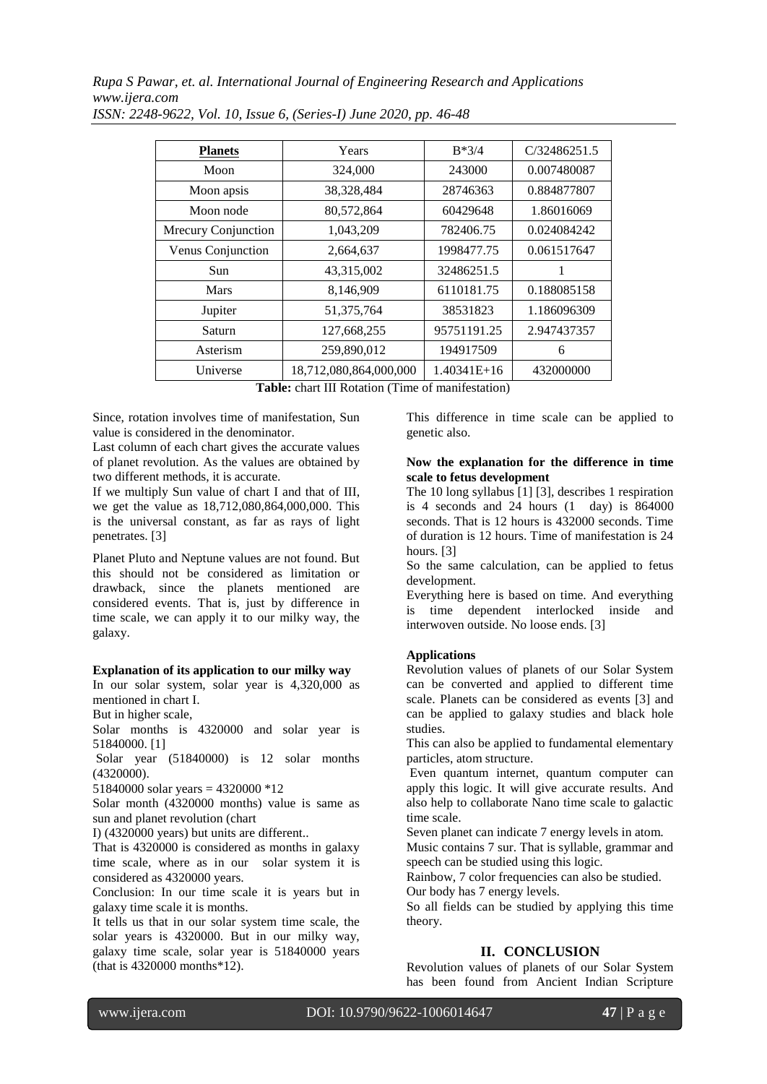*Rupa S Pawar, et. al. International Journal of Engineering Research and Applications www.ijera.com*

| <b>Planets</b>      | Years                  | $B*3/4$       | C/32486251.5 |
|---------------------|------------------------|---------------|--------------|
| Moon                | 324,000                | 243000        | 0.007480087  |
| Moon apsis          | 38,328,484             | 28746363      | 0.884877807  |
| Moon node           | 80,572,864             | 60429648      | 1.86016069   |
| Mrecury Conjunction | 1,043,209              | 782406.75     | 0.024084242  |
| Venus Conjunction   | 2,664,637              | 1998477.75    | 0.061517647  |
| Sun                 | 43,315,002             | 32486251.5    |              |
| Mars                | 8,146,909              | 6110181.75    | 0.188085158  |
| Jupiter             | 51,375,764             | 38531823      | 1.186096309  |
| Saturn              | 127,668,255            | 95751191.25   | 2.947437357  |
| Asterism            | 259,890,012            | 194917509     | 6            |
| Universe            | 18,712,080,864,000,000 | $1.40341E+16$ | 432000000    |

*ISSN: 2248-9622, Vol. 10, Issue 6, (Series-I) June 2020, pp. 46-48*

**Table:** chart III Rotation (Time of manifestation)

Since, rotation involves time of manifestation, Sun value is considered in the denominator.

Last column of each chart gives the accurate values of planet revolution. As the values are obtained by two different methods, it is accurate.

If we multiply Sun value of chart I and that of III, we get the value as 18,712,080,864,000,000. This is the universal constant, as far as rays of light penetrates. [3]

Planet Pluto and Neptune values are not found. But this should not be considered as limitation or drawback, since the planets mentioned are considered events. That is, just by difference in time scale, we can apply it to our milky way, the galaxy.

#### **Explanation of its application to our milky way**

In our solar system, solar year is 4,320,000 as mentioned in chart I.

But in higher scale,

Solar months is 4320000 and solar year is 51840000. [1]

Solar year (51840000) is 12 solar months (4320000).

51840000 solar years = 4320000 \*12

Solar month (4320000 months) value is same as sun and planet revolution (chart

I) (4320000 years) but units are different..

That is 4320000 is considered as months in galaxy time scale, where as in our solar system it is considered as 4320000 years.

Conclusion: In our time scale it is years but in galaxy time scale it is months.

It tells us that in our solar system time scale, the solar years is 4320000. But in our milky way, galaxy time scale, solar year is 51840000 years (that is 4320000 months\*12).

This difference in time scale can be applied to genetic also.

### **Now the explanation for the difference in time scale to fetus development**

The 10 long syllabus [1] [3], describes 1 respiration is 4 seconds and 24 hours  $(1 \text{ day})$  is  $864000$ seconds. That is 12 hours is 432000 seconds. Time of duration is 12 hours. Time of manifestation is 24 hours. [3]

So the same calculation, can be applied to fetus development.

Everything here is based on time. And everything is time dependent interlocked inside and interwoven outside. No loose ends. [3]

### **Applications**

Revolution values of planets of our Solar System can be converted and applied to different time scale. Planets can be considered as events [3] and can be applied to galaxy studies and black hole studies.

This can also be applied to fundamental elementary particles, atom structure.

Even quantum internet, quantum computer can apply this logic. It will give accurate results. And also help to collaborate Nano time scale to galactic time scale.

Seven planet can indicate 7 energy levels in atom. Music contains 7 sur. That is syllable, grammar and speech can be studied using this logic.

Rainbow, 7 color frequencies can also be studied. Our body has 7 energy levels.

So all fields can be studied by applying this time theory.

# **II. CONCLUSION**

Revolution values of planets of our Solar System has been found from Ancient Indian Scripture